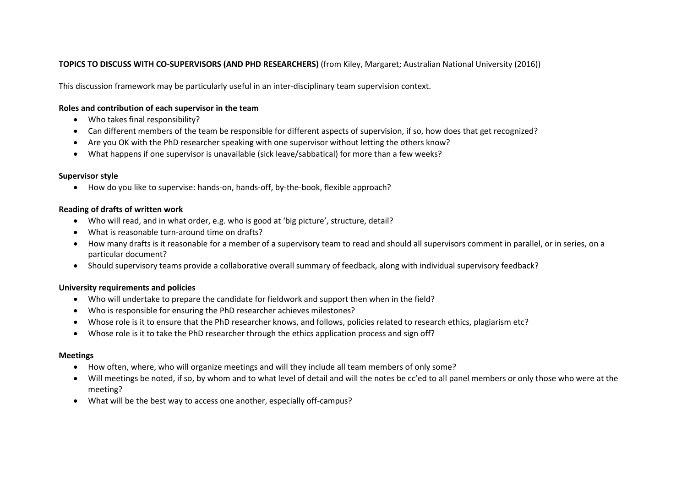# **TOPICS TO DISCUSS WITH CO-SUPERVISORS (AND PHD RESEARCHERS)** (from Kiley, Margaret; Australian National University (2016))

This discussion framework may be particularly useful in an inter-disciplinary team supervision context.

## **Roles and contribution of each supervisor in the team**

- Who takes final responsibility?
- Can different members of the team be responsible for different aspects of supervision, if so, how does that get recognized?
- Are you OK with the PhD researcher speaking with one supervisor without letting the others know?
- What happens if one supervisor is unavailable (sick leave/sabbatical) for more than a few weeks?

#### **Supervisor style**

How do you like to supervise: hands-on, hands-off, by-the-book, flexible approach?

### **Reading of drafts of written work**

- Who will read, and in what order, e.g. who is good at 'big picture', structure, detail?
- What is reasonable turn-around time on drafts?
- How many drafts is it reasonable for a member of a supervisory team to read and should all supervisors comment in parallel, or in series, on a particular document?
- Should supervisory teams provide a collaborative overall summary of feedback, along with individual supervisory feedback?

### **University requirements and policies**

- Who will undertake to prepare the candidate for fieldwork and support then when in the field?
- Who is responsible for ensuring the PhD researcher achieves milestones?
- Whose role is it to ensure that the PhD researcher knows, and follows, policies related to research ethics, plagiarism etc?
- Whose role is it to take the PhD researcher through the ethics application process and sign off?

#### **Meetings**

- How often, where, who will organize meetings and will they include all team members of only some?
- Will meetings be noted, if so, by whom and to what level of detail and will the notes be cc'ed to all panel members or only those who were at the meeting?
- What will be the best way to access one another, especially off-campus?